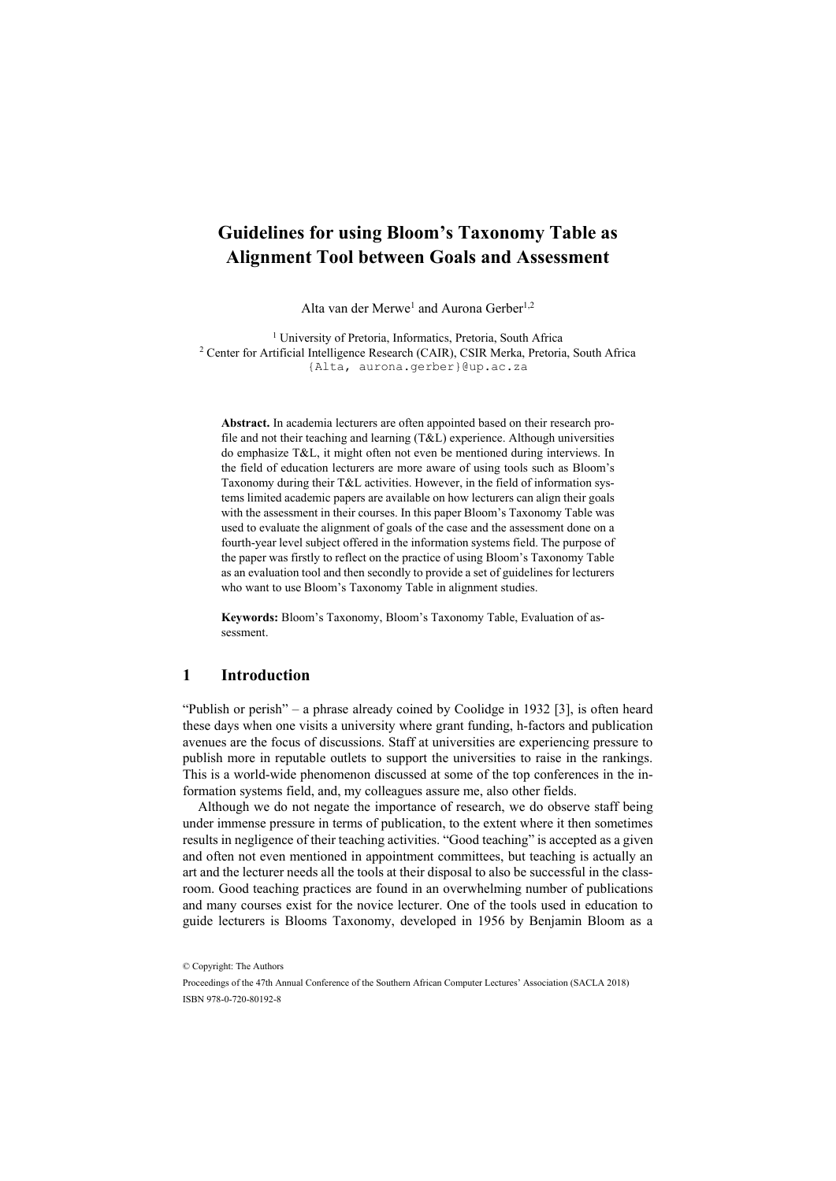# **Guidelines for using Bloom's Taxonomy Table as Alignment Tool between Goals and Assessment**

Alta van der Merwe<sup>1</sup> and Aurona Gerber<sup>1,2</sup>

<sup>1</sup> University of Pretoria, Informatics, Pretoria, South Africa <sup>2</sup> Center for Artificial Intelligence Research (CAIR), CSIR Merka, Pretoria, South Africa {Alta, aurona.gerber}@up.ac.za

**Abstract.** In academia lecturers are often appointed based on their research profile and not their teaching and learning (T&L) experience. Although universities do emphasize T&L, it might often not even be mentioned during interviews. In the field of education lecturers are more aware of using tools such as Bloom's Taxonomy during their T&L activities. However, in the field of information systems limited academic papers are available on how lecturers can align their goals with the assessment in their courses. In this paper Bloom's Taxonomy Table was used to evaluate the alignment of goals of the case and the assessment done on a fourth-year level subject offered in the information systems field. The purpose of the paper was firstly to reflect on the practice of using Bloom's Taxonomy Table as an evaluation tool and then secondly to provide a set of guidelines for lecturers who want to use Bloom's Taxonomy Table in alignment studies.

**Keywords:** Bloom's Taxonomy, Bloom's Taxonomy Table, Evaluation of assessment.

### **1 Introduction**

"Publish or perish" – a phrase already coined by Coolidge in 1932 [3], is often heard these days when one visits a university where grant funding, h-factors and publication avenues are the focus of discussions. Staff at universities are experiencing pressure to publish more in reputable outlets to support the universities to raise in the rankings. This is a world-wide phenomenon discussed at some of the top conferences in the information systems field, and, my colleagues assure me, also other fields.

Although we do not negate the importance of research, we do observe staff being under immense pressure in terms of publication, to the extent where it then sometimes results in negligence of their teaching activities. "Good teaching" is accepted as a given and often not even mentioned in appointment committees, but teaching is actually an art and the lecturer needs all the tools at their disposal to also be successful in the classroom. Good teaching practices are found in an overwhelming number of publications and many courses exist for the novice lecturer. One of the tools used in education to guide lecturers is Blooms Taxonomy, developed in 1956 by Benjamin Bloom as a

<sup>©</sup> Copyright: The Authors

Proceedings of the 47th Annual Conference of the Southern African Computer Lectures' Association (SACLA 2018) ISBN 978-0-720-80192-8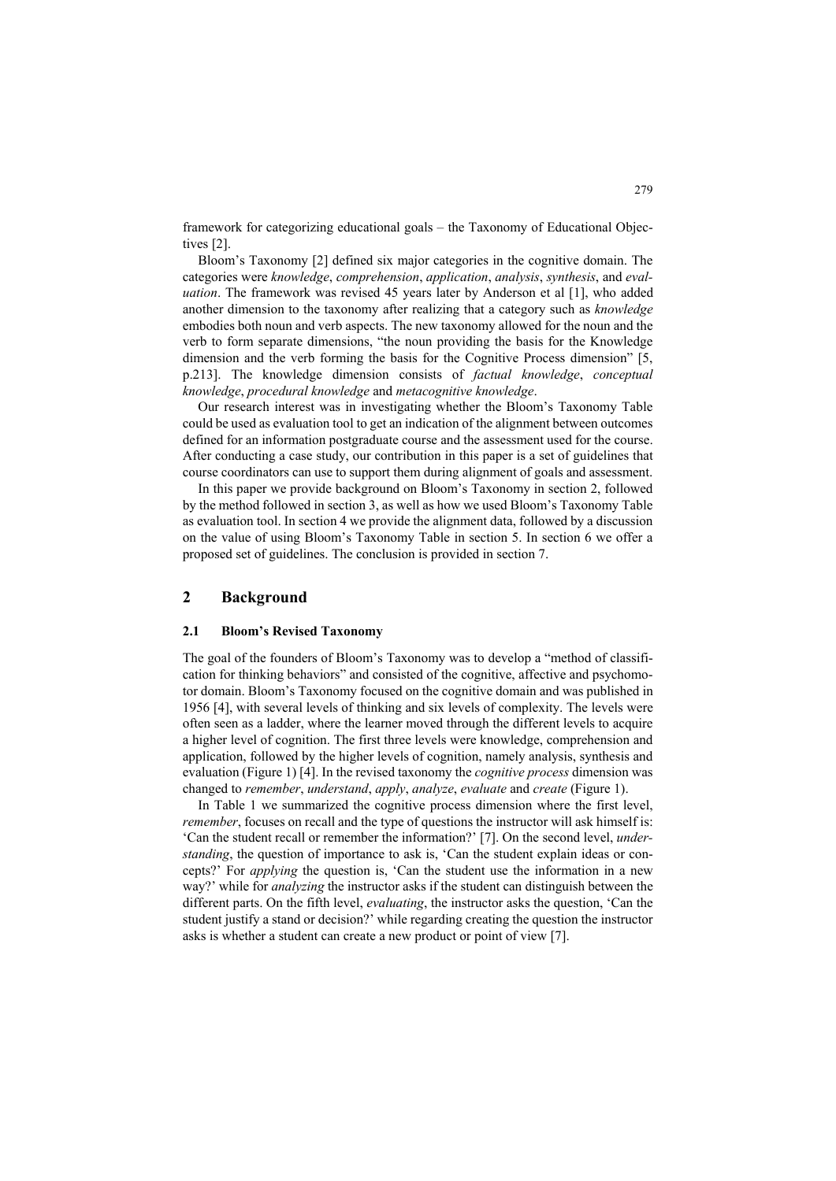framework for categorizing educational goals – the Taxonomy of Educational Objectives [2].

Bloom's Taxonomy [2] defined six major categories in the cognitive domain. The categories were *knowledge*, *comprehension*, *application*, *analysis*, *synthesis*, and *evaluation*. The framework was revised 45 years later by Anderson et al [1], who added another dimension to the taxonomy after realizing that a category such as *knowledge* embodies both noun and verb aspects. The new taxonomy allowed for the noun and the verb to form separate dimensions, "the noun providing the basis for the Knowledge dimension and the verb forming the basis for the Cognitive Process dimension" [5, p.213]. The knowledge dimension consists of *factual knowledge*, *conceptual knowledge*, *procedural knowledge* and *metacognitive knowledge*.

Our research interest was in investigating whether the Bloom's Taxonomy Table could be used as evaluation tool to get an indication of the alignment between outcomes defined for an information postgraduate course and the assessment used for the course. After conducting a case study, our contribution in this paper is a set of guidelines that course coordinators can use to support them during alignment of goals and assessment.

In this paper we provide background on Bloom's Taxonomy in section 2, followed by the method followed in section 3, as well as how we used Bloom's Taxonomy Table as evaluation tool. In section 4 we provide the alignment data, followed by a discussion on the value of using Bloom's Taxonomy Table in section 5. In section 6 we offer a proposed set of guidelines. The conclusion is provided in section 7.

### **2 Background**

#### **2.1 Bloom's Revised Taxonomy**

The goal of the founders of Bloom's Taxonomy was to develop a "method of classification for thinking behaviors" and consisted of the cognitive, affective and psychomotor domain. Bloom's Taxonomy focused on the cognitive domain and was published in 1956 [4], with several levels of thinking and six levels of complexity. The levels were often seen as a ladder, where the learner moved through the different levels to acquire a higher level of cognition. The first three levels were knowledge, comprehension and application, followed by the higher levels of cognition, namely analysis, synthesis and evaluation (Figure 1) [4]. In the revised taxonomy the *cognitive process* dimension was changed to *remember*, *understand*, *apply*, *analyze*, *evaluate* and *create* (Figure 1).

In Table 1 we summarized the cognitive process dimension where the first level, *remember*, focuses on recall and the type of questions the instructor will ask himself is: 'Can the student recall or remember the information?' [7]. On the second level, *understanding*, the question of importance to ask is, 'Can the student explain ideas or concepts?' For *applying* the question is, 'Can the student use the information in a new way?' while for *analyzing* the instructor asks if the student can distinguish between the different parts. On the fifth level, *evaluating*, the instructor asks the question, 'Can the student justify a stand or decision?' while regarding creating the question the instructor asks is whether a student can create a new product or point of view [7].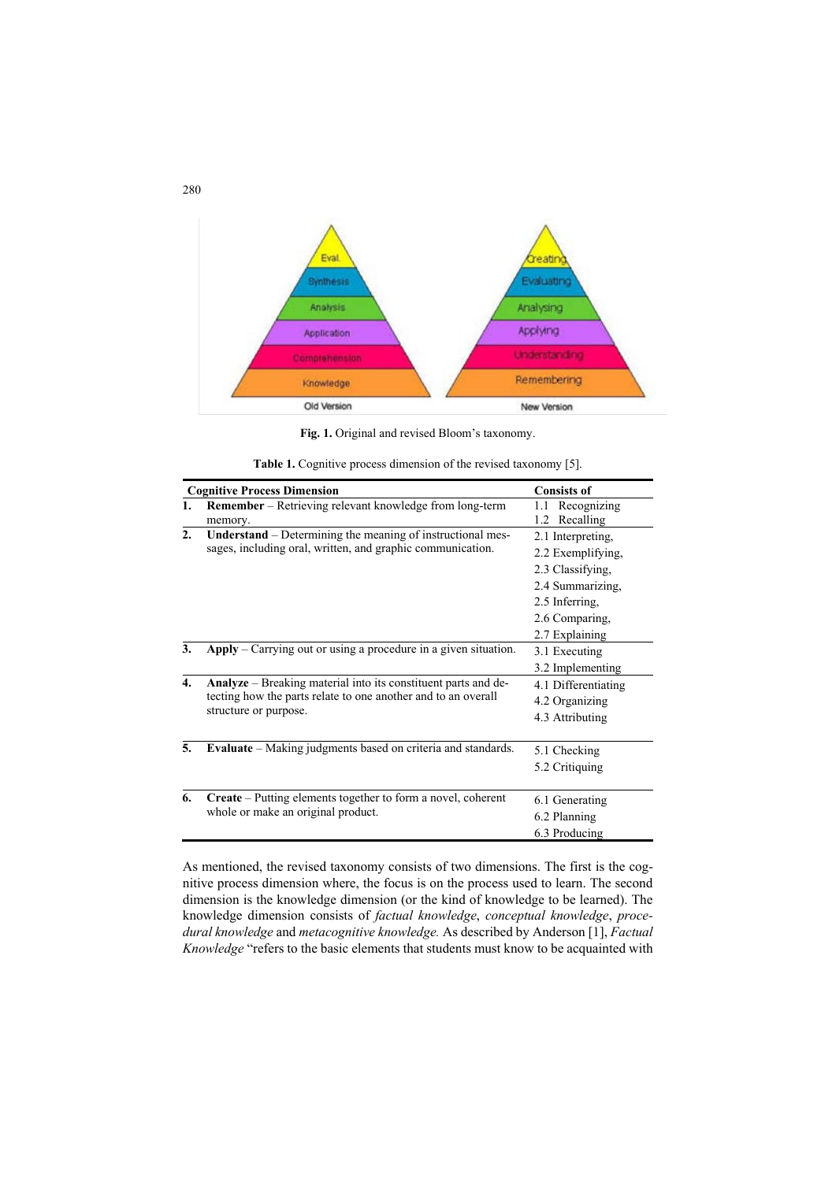

**Fig. 1.** Original and revised Bloom's taxonomy.

|                  | <b>Cognitive Process Dimension</b>                                                                                                                       | <b>Consists of</b>                                                                                                                   |  |  |
|------------------|----------------------------------------------------------------------------------------------------------------------------------------------------------|--------------------------------------------------------------------------------------------------------------------------------------|--|--|
| 1.               | <b>Remember</b> – Retrieving relevant knowledge from long-term<br>memory.                                                                                | Recognizing<br>1.1<br>Recalling<br>1.2                                                                                               |  |  |
| $\overline{2}$ . | <b>Understand</b> – Determining the meaning of instructional mes-<br>sages, including oral, written, and graphic communication.                          | 2.1 Interpreting.<br>2.2 Exemplifying,<br>2.3 Classifying.<br>2.4 Summarizing,<br>2.5 Inferring,<br>2.6 Comparing,<br>2.7 Explaining |  |  |
| 3.               | Apply – Carrying out or using a procedure in a given situation.                                                                                          | 3.1 Executing<br>3.2 Implementing                                                                                                    |  |  |
| $\overline{4}$ . | Analyze - Breaking material into its constituent parts and de-<br>tecting how the parts relate to one another and to an overall<br>structure or purpose. | 4.1 Differentiating<br>4.2 Organizing<br>4.3 Attributing                                                                             |  |  |
| 5.               | <b>Evaluate</b> – Making judgments based on criteria and standards.                                                                                      | 5.1 Checking<br>5.2 Critiquing                                                                                                       |  |  |
| 6.               | <b>Create</b> – Putting elements together to form a novel, coherent<br>whole or make an original product.                                                | 6.1 Generating<br>6.2 Planning<br>6.3 Producing                                                                                      |  |  |

**Table 1.** Cognitive process dimension of the revised taxonomy [5].

As mentioned, the revised taxonomy consists of two dimensions. The first is the cognitive process dimension where, the focus is on the process used to learn. The second dimension is the knowledge dimension (or the kind of knowledge to be learned). The knowledge dimension consists of *factual knowledge*, *conceptual knowledge*, *procedural knowledge* and *metacognitive knowledge.* As described by Anderson [1], *Factual Knowledge* "refers to the basic elements that students must know to be acquainted with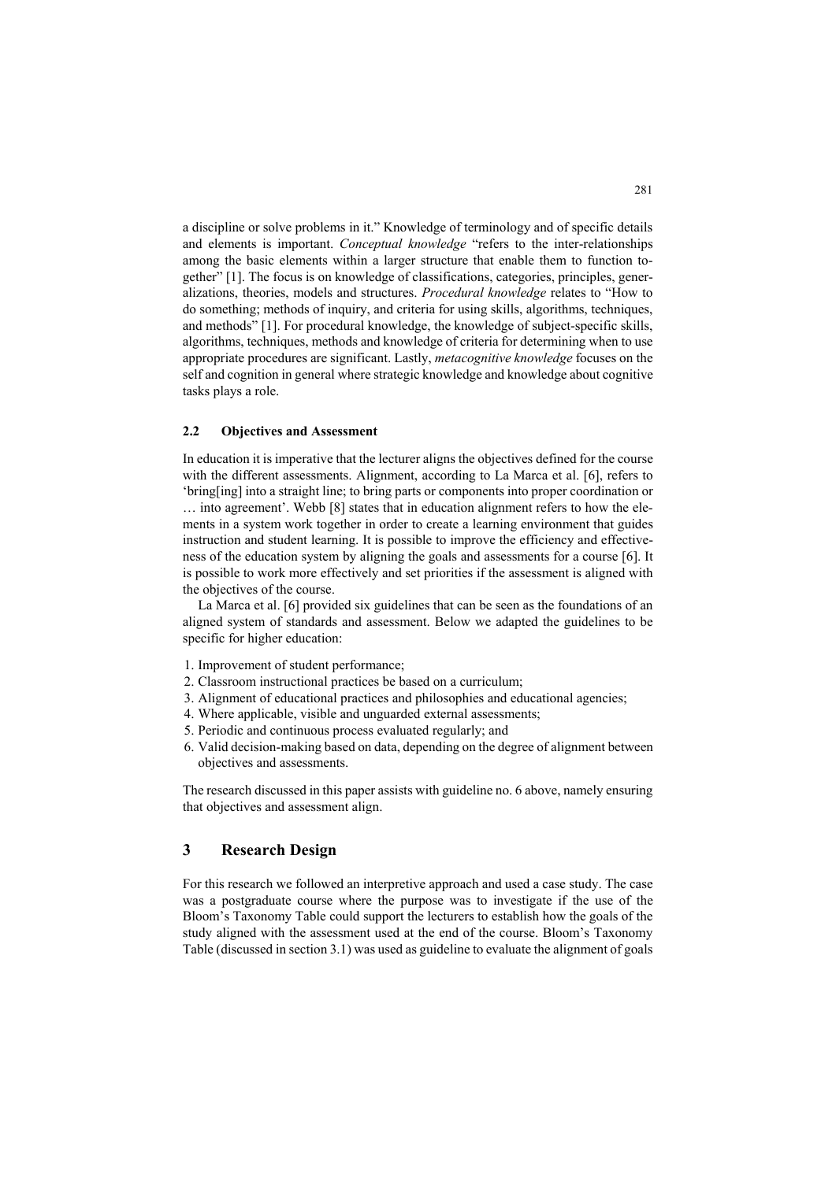a discipline or solve problems in it." Knowledge of terminology and of specific details and elements is important. *Conceptual knowledge* "refers to the inter-relationships among the basic elements within a larger structure that enable them to function together" [1]. The focus is on knowledge of classifications, categories, principles, generalizations, theories, models and structures. *Procedural knowledge* relates to "How to do something; methods of inquiry, and criteria for using skills, algorithms, techniques, and methods" [1]. For procedural knowledge, the knowledge of subject-specific skills, algorithms, techniques, methods and knowledge of criteria for determining when to use appropriate procedures are significant. Lastly, *metacognitive knowledge* focuses on the self and cognition in general where strategic knowledge and knowledge about cognitive tasks plays a role.

#### **2.2 Objectives and Assessment**

In education it is imperative that the lecturer aligns the objectives defined for the course with the different assessments. Alignment, according to La Marca et al. [6], refers to 'bring[ing] into a straight line; to bring parts or components into proper coordination or … into agreement'. Webb [8] states that in education alignment refers to how the elements in a system work together in order to create a learning environment that guides instruction and student learning. It is possible to improve the efficiency and effectiveness of the education system by aligning the goals and assessments for a course [6]. It is possible to work more effectively and set priorities if the assessment is aligned with the objectives of the course.

La Marca et al. [6] provided six guidelines that can be seen as the foundations of an aligned system of standards and assessment. Below we adapted the guidelines to be specific for higher education:

- 1. Improvement of student performance;
- 2. Classroom instructional practices be based on a curriculum;
- 3. Alignment of educational practices and philosophies and educational agencies;
- 4. Where applicable, visible and unguarded external assessments;
- 5. Periodic and continuous process evaluated regularly; and
- 6. Valid decision-making based on data, depending on the degree of alignment between objectives and assessments.

The research discussed in this paper assists with guideline no. 6 above, namely ensuring that objectives and assessment align.

### **3 Research Design**

For this research we followed an interpretive approach and used a case study. The case was a postgraduate course where the purpose was to investigate if the use of the Bloom's Taxonomy Table could support the lecturers to establish how the goals of the study aligned with the assessment used at the end of the course. Bloom's Taxonomy Table (discussed in section 3.1) was used as guideline to evaluate the alignment of goals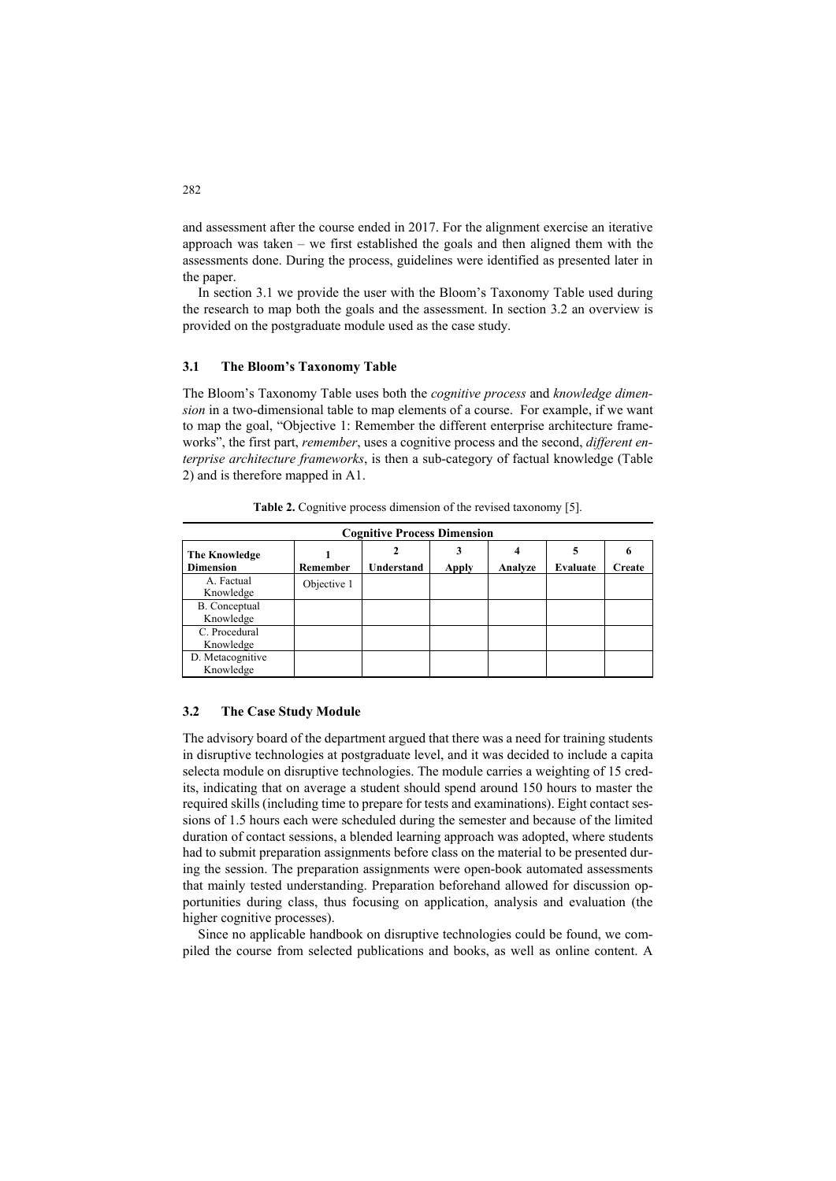and assessment after the course ended in 2017. For the alignment exercise an iterative approach was taken – we first established the goals and then aligned them with the assessments done. During the process, guidelines were identified as presented later in the paper.

In section 3.1 we provide the user with the Bloom's Taxonomy Table used during the research to map both the goals and the assessment. In section 3.2 an overview is provided on the postgraduate module used as the case study.

#### **3.1 The Bloom's Taxonomy Table**

The Bloom's Taxonomy Table uses both the *cognitive process* and *knowledge dimension* in a two-dimensional table to map elements of a course. For example, if we want to map the goal, "Objective 1: Remember the different enterprise architecture frameworks", the first part, *remember*, uses a cognitive process and the second, *different enterprise architecture frameworks*, is then a sub-category of factual knowledge (Table 2) and is therefore mapped in A1.

| <b>Cognitive Process Dimension</b>       |             |            |              |         |          |        |  |
|------------------------------------------|-------------|------------|--------------|---------|----------|--------|--|
| <b>The Knowledge</b><br><b>Dimension</b> | Remember    | Understand | <b>Apply</b> | Analyze | Evaluate | Create |  |
| A. Factual<br>Knowledge                  | Objective 1 |            |              |         |          |        |  |
| B. Conceptual<br>Knowledge               |             |            |              |         |          |        |  |
| C. Procedural<br>Knowledge               |             |            |              |         |          |        |  |
| D. Metacognitive<br>Knowledge            |             |            |              |         |          |        |  |

**Table 2.** Cognitive process dimension of the revised taxonomy [5].

#### **3.2 The Case Study Module**

The advisory board of the department argued that there was a need for training students in disruptive technologies at postgraduate level, and it was decided to include a capita selecta module on disruptive technologies. The module carries a weighting of 15 credits, indicating that on average a student should spend around 150 hours to master the required skills (including time to prepare for tests and examinations). Eight contact sessions of 1.5 hours each were scheduled during the semester and because of the limited duration of contact sessions, a blended learning approach was adopted, where students had to submit preparation assignments before class on the material to be presented during the session. The preparation assignments were open-book automated assessments that mainly tested understanding. Preparation beforehand allowed for discussion opportunities during class, thus focusing on application, analysis and evaluation (the higher cognitive processes).

Since no applicable handbook on disruptive technologies could be found, we compiled the course from selected publications and books, as well as online content. A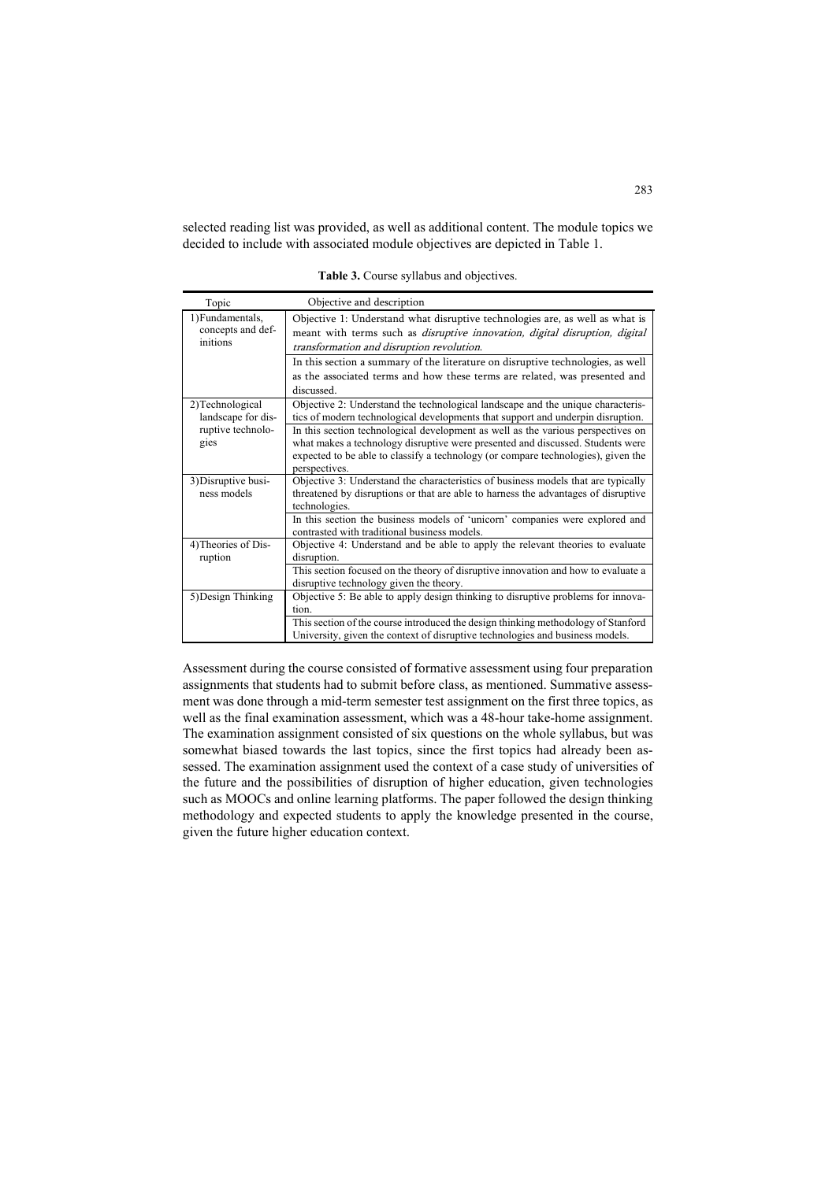selected reading list was provided, as well as additional content. The module topics we decided to include with associated module objectives are depicted in Table 1.

**Table 3.** Course syllabus and objectives.

| Topic                                 | Objective and description                                                                                                                                                          |  |  |  |  |  |
|---------------------------------------|------------------------------------------------------------------------------------------------------------------------------------------------------------------------------------|--|--|--|--|--|
| 1) Fundamentals,<br>concepts and def- | Objective 1: Understand what disruptive technologies are, as well as what is<br>meant with terms such as <i>disruptive innovation</i> , <i>digital disruption</i> , <i>digital</i> |  |  |  |  |  |
| initions                              |                                                                                                                                                                                    |  |  |  |  |  |
|                                       | transformation and disruption revolution.                                                                                                                                          |  |  |  |  |  |
|                                       | In this section a summary of the literature on disruptive technologies, as well                                                                                                    |  |  |  |  |  |
|                                       | as the associated terms and how these terms are related, was presented and                                                                                                         |  |  |  |  |  |
|                                       | discussed.                                                                                                                                                                         |  |  |  |  |  |
| 2) Technological                      | Objective 2: Understand the technological landscape and the unique characteris-                                                                                                    |  |  |  |  |  |
| landscape for dis-                    | tics of modern technological developments that support and underpin disruption.                                                                                                    |  |  |  |  |  |
| ruptive technolo-                     | In this section technological development as well as the various perspectives on                                                                                                   |  |  |  |  |  |
| gies                                  | what makes a technology disruptive were presented and discussed. Students were                                                                                                     |  |  |  |  |  |
|                                       | expected to be able to classify a technology (or compare technologies), given the                                                                                                  |  |  |  |  |  |
|                                       | perspectives.                                                                                                                                                                      |  |  |  |  |  |
| 3) Disruptive busi-                   | Objective 3: Understand the characteristics of business models that are typically                                                                                                  |  |  |  |  |  |
| ness models                           | threatened by disruptions or that are able to harness the advantages of disruptive                                                                                                 |  |  |  |  |  |
| technologies.                         |                                                                                                                                                                                    |  |  |  |  |  |
|                                       | In this section the business models of 'unicorn' companies were explored and<br>contrasted with traditional business models.                                                       |  |  |  |  |  |
| 4) Theories of Dis-                   | Objective 4: Understand and be able to apply the relevant theories to evaluate                                                                                                     |  |  |  |  |  |
| ruption                               | disruption.                                                                                                                                                                        |  |  |  |  |  |
|                                       | This section focused on the theory of disruptive innovation and how to evaluate a                                                                                                  |  |  |  |  |  |
|                                       | disruptive technology given the theory.                                                                                                                                            |  |  |  |  |  |
| 5) Design Thinking                    | Objective 5: Be able to apply design thinking to disruptive problems for innova-                                                                                                   |  |  |  |  |  |
|                                       | tion.                                                                                                                                                                              |  |  |  |  |  |
|                                       | This section of the course introduced the design thinking methodology of Stanford                                                                                                  |  |  |  |  |  |
|                                       | University, given the context of disruptive technologies and business models.                                                                                                      |  |  |  |  |  |

Assessment during the course consisted of formative assessment using four preparation assignments that students had to submit before class, as mentioned. Summative assessment was done through a mid-term semester test assignment on the first three topics, as well as the final examination assessment, which was a 48-hour take-home assignment. The examination assignment consisted of six questions on the whole syllabus, but was somewhat biased towards the last topics, since the first topics had already been assessed. The examination assignment used the context of a case study of universities of the future and the possibilities of disruption of higher education, given technologies such as MOOCs and online learning platforms. The paper followed the design thinking methodology and expected students to apply the knowledge presented in the course, given the future higher education context.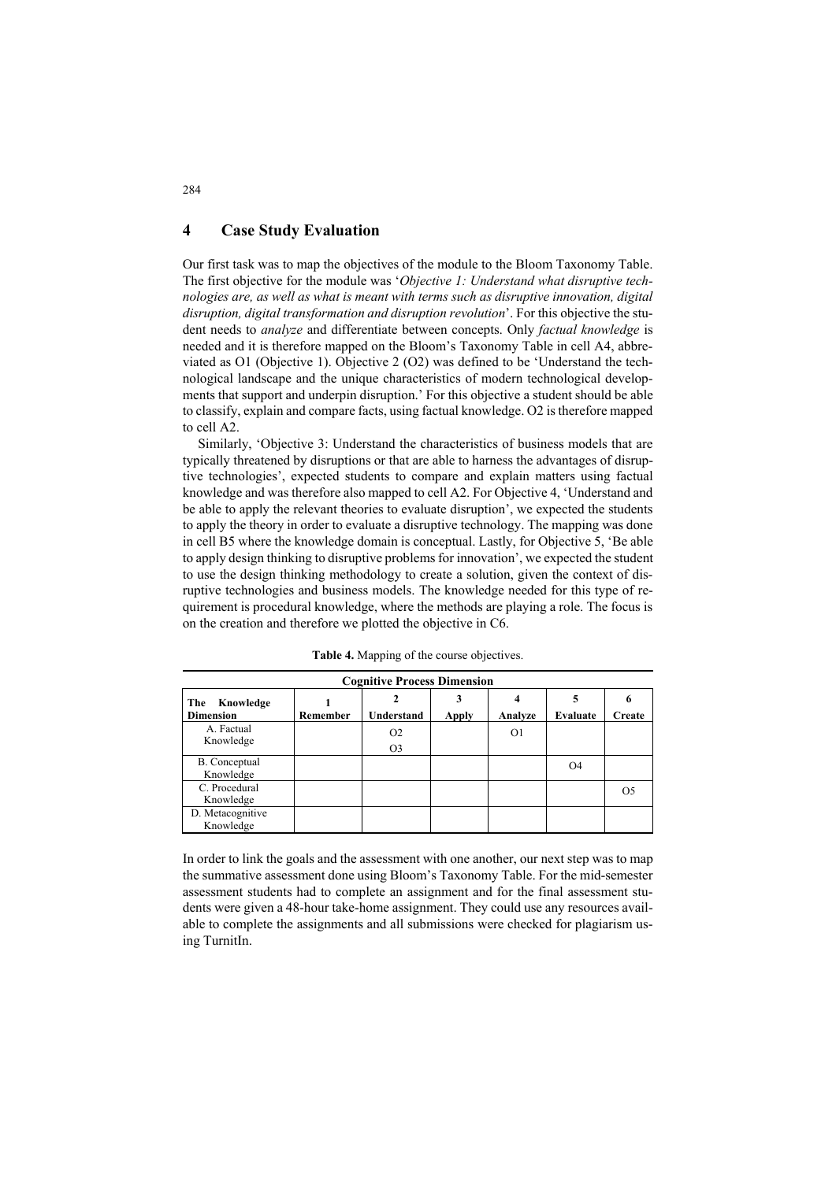### **4 Case Study Evaluation**

Our first task was to map the objectives of the module to the Bloom Taxonomy Table. The first objective for the module was '*Objective 1: Understand what disruptive technologies are, as well as what is meant with terms such as disruptive innovation, digital disruption, digital transformation and disruption revolution*'. For this objective the student needs to *analyze* and differentiate between concepts. Only *factual knowledge* is needed and it is therefore mapped on the Bloom's Taxonomy Table in cell A4, abbreviated as O1 (Objective 1). Objective 2 (O2) was defined to be 'Understand the technological landscape and the unique characteristics of modern technological developments that support and underpin disruption.' For this objective a student should be able to classify, explain and compare facts, using factual knowledge. O2 is therefore mapped to cell A2.

Similarly, 'Objective 3: Understand the characteristics of business models that are typically threatened by disruptions or that are able to harness the advantages of disruptive technologies', expected students to compare and explain matters using factual knowledge and was therefore also mapped to cell A2. For Objective 4, 'Understand and be able to apply the relevant theories to evaluate disruption', we expected the students to apply the theory in order to evaluate a disruptive technology. The mapping was done in cell B5 where the knowledge domain is conceptual. Lastly, for Objective 5, 'Be able to apply design thinking to disruptive problems for innovation', we expected the student to use the design thinking methodology to create a solution, given the context of disruptive technologies and business models. The knowledge needed for this type of requirement is procedural knowledge, where the methods are playing a role. The focus is on the creation and therefore we plotted the objective in C6.

| <b>Cognitive Process Dimension</b> |          |                |              |                |          |               |  |
|------------------------------------|----------|----------------|--------------|----------------|----------|---------------|--|
| The<br>Knowledge                   |          |                |              |                | 5        |               |  |
| <b>Dimension</b>                   | Remember | Understand     | <b>Apply</b> | Analyze        | Evaluate | <b>Create</b> |  |
| A. Factual<br>Knowledge            |          | O <sub>2</sub> |              | O <sub>1</sub> |          |               |  |
|                                    |          | O <sub>3</sub> |              |                |          |               |  |
| B. Conceptual                      |          |                |              |                | O4       |               |  |
| Knowledge                          |          |                |              |                |          |               |  |
| C. Procedural                      |          |                |              |                |          | $\Omega$      |  |
| Knowledge                          |          |                |              |                |          |               |  |
| D. Metacognitive                   |          |                |              |                |          |               |  |
| Knowledge                          |          |                |              |                |          |               |  |

**Table 4.** Mapping of the course objectives.

In order to link the goals and the assessment with one another, our next step was to map the summative assessment done using Bloom's Taxonomy Table. For the mid-semester assessment students had to complete an assignment and for the final assessment students were given a 48-hour take-home assignment. They could use any resources available to complete the assignments and all submissions were checked for plagiarism using TurnitIn.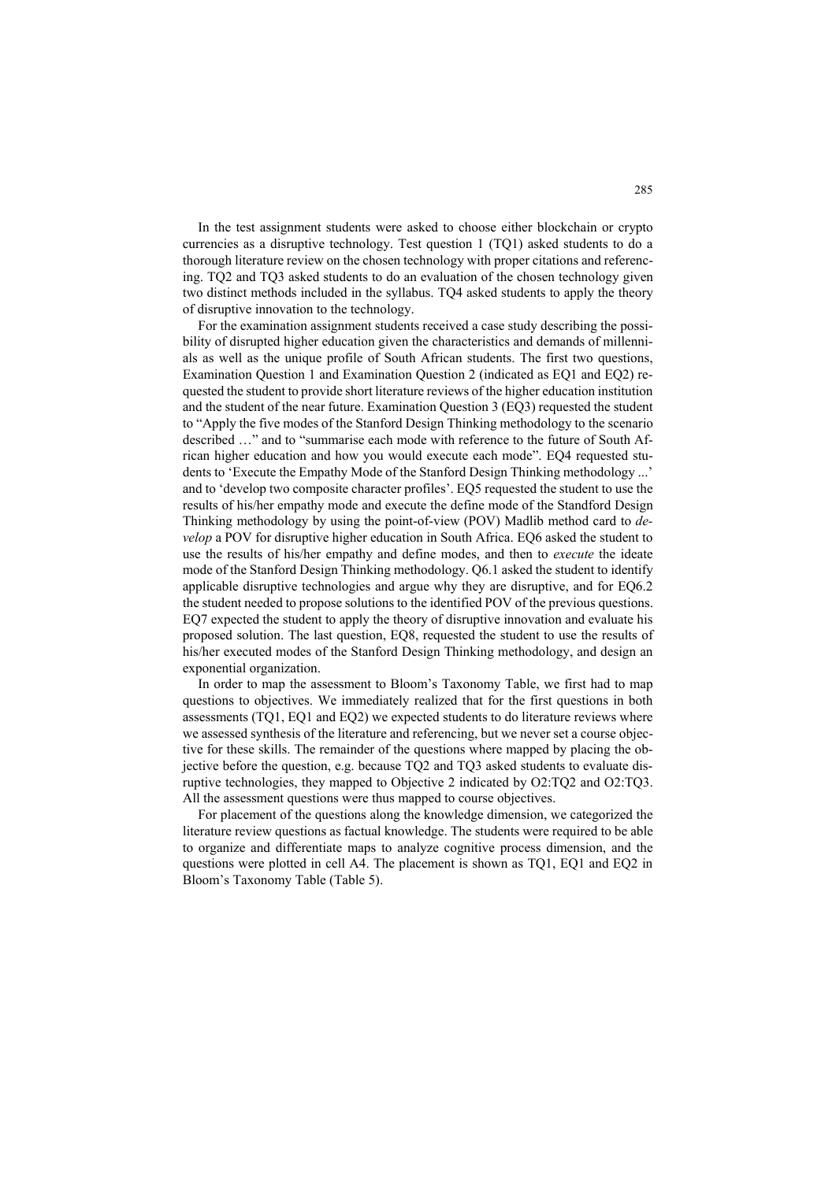In the test assignment students were asked to choose either blockchain or crypto currencies as a disruptive technology. Test question 1 (TQ1) asked students to do a thorough literature review on the chosen technology with proper citations and referencing. TQ2 and TQ3 asked students to do an evaluation of the chosen technology given two distinct methods included in the syllabus. TQ4 asked students to apply the theory of disruptive innovation to the technology.

For the examination assignment students received a case study describing the possibility of disrupted higher education given the characteristics and demands of millennials as well as the unique profile of South African students. The first two questions, Examination Question 1 and Examination Question 2 (indicated as EQ1 and EQ2) requested the student to provide short literature reviews of the higher education institution and the student of the near future. Examination Question 3 (EQ3) requested the student to "Apply the five modes of the Stanford Design Thinking methodology to the scenario described …" and to "summarise each mode with reference to the future of South African higher education and how you would execute each mode". EQ4 requested students to 'Execute the Empathy Mode of the Stanford Design Thinking methodology ...' and to 'develop two composite character profiles'. EQ5 requested the student to use the results of his/her empathy mode and execute the define mode of the Standford Design Thinking methodology by using the point-of-view (POV) Madlib method card to *develop* a POV for disruptive higher education in South Africa. EQ6 asked the student to use the results of his/her empathy and define modes, and then to *execute* the ideate mode of the Stanford Design Thinking methodology. Q6.1 asked the student to identify applicable disruptive technologies and argue why they are disruptive, and for EQ6.2 the student needed to propose solutions to the identified POV of the previous questions. EQ7 expected the student to apply the theory of disruptive innovation and evaluate his proposed solution. The last question, EQ8, requested the student to use the results of his/her executed modes of the Stanford Design Thinking methodology, and design an exponential organization.

In order to map the assessment to Bloom's Taxonomy Table, we first had to map questions to objectives. We immediately realized that for the first questions in both assessments (TQ1, EQ1 and EQ2) we expected students to do literature reviews where we assessed synthesis of the literature and referencing, but we never set a course objective for these skills. The remainder of the questions where mapped by placing the objective before the question, e.g. because TQ2 and TQ3 asked students to evaluate disruptive technologies, they mapped to Objective 2 indicated by O2:TQ2 and O2:TQ3. All the assessment questions were thus mapped to course objectives.

For placement of the questions along the knowledge dimension, we categorized the literature review questions as factual knowledge. The students were required to be able to organize and differentiate maps to analyze cognitive process dimension, and the questions were plotted in cell A4. The placement is shown as TQ1, EQ1 and EQ2 in Bloom's Taxonomy Table (Table 5).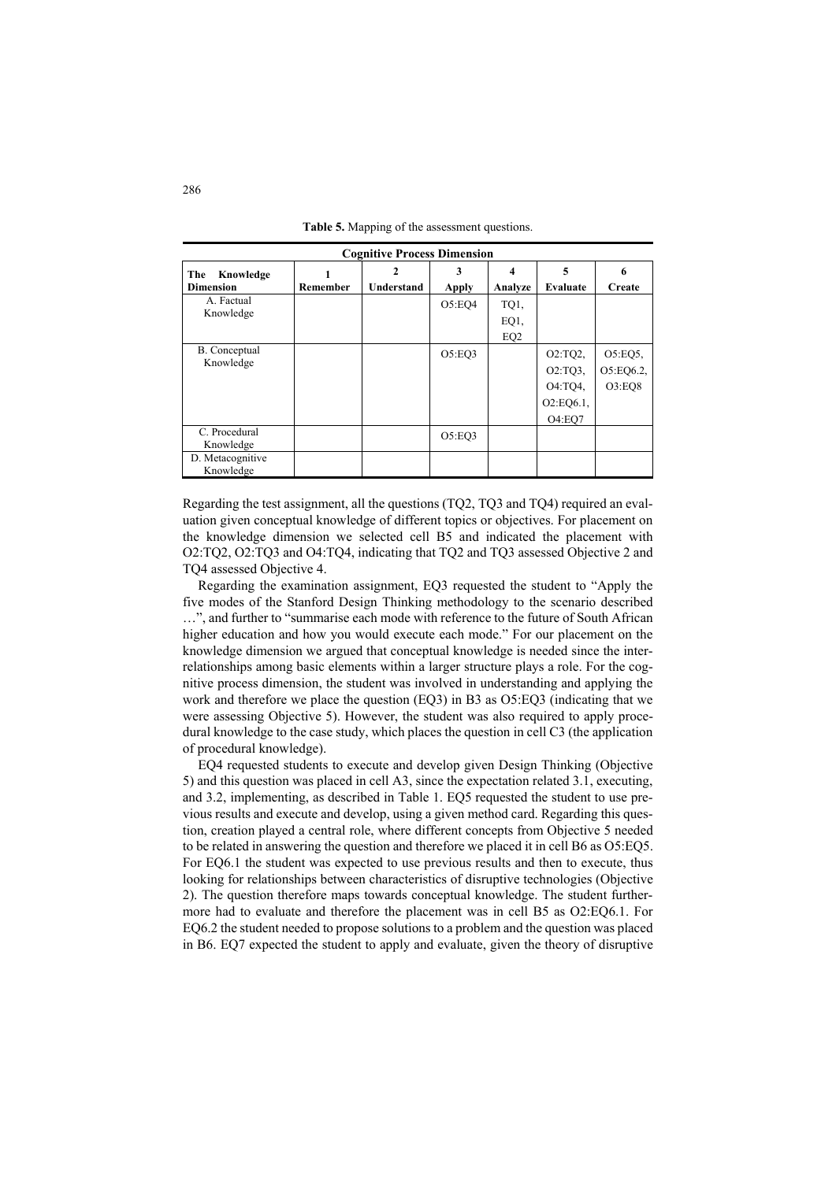| <b>Cognitive Process Dimension</b> |          |            |              |                 |              |            |  |
|------------------------------------|----------|------------|--------------|-----------------|--------------|------------|--|
| The<br>Knowledge                   |          | 2          | 3            | 4               | 5            | 6          |  |
| <b>Dimension</b>                   | Remember | Understand | <b>Apply</b> | Analyze         | Evaluate     | Create     |  |
| A. Factual                         |          |            | O5:EO4       | TQ1,            |              |            |  |
| Knowledge                          |          |            |              | EQ <sub>1</sub> |              |            |  |
|                                    |          |            |              | EQ <sub>2</sub> |              |            |  |
| B. Conceptual                      |          |            | O5:EQ3       |                 | O2:TO2       | $O5:EQ5$ , |  |
| Knowledge                          |          |            |              |                 | $O2:TQ3$ ,   | O5:EQ6.2,  |  |
|                                    |          |            |              |                 | O4:TQ4,      | O3:EO8     |  |
|                                    |          |            |              |                 | $O2:EQ6.1$ , |            |  |
|                                    |          |            |              |                 | O4:EO7       |            |  |
| C. Procedural<br>Knowledge         |          |            | O5:EQ3       |                 |              |            |  |
| D. Metacognitive<br>Knowledge      |          |            |              |                 |              |            |  |

**Table 5.** Mapping of the assessment questions.

Regarding the test assignment, all the questions (TQ2, TQ3 and TQ4) required an evaluation given conceptual knowledge of different topics or objectives. For placement on the knowledge dimension we selected cell B5 and indicated the placement with O2:TQ2, O2:TQ3 and O4:TQ4, indicating that TQ2 and TQ3 assessed Objective 2 and TQ4 assessed Objective 4.

Regarding the examination assignment, EQ3 requested the student to "Apply the five modes of the Stanford Design Thinking methodology to the scenario described …", and further to "summarise each mode with reference to the future of South African higher education and how you would execute each mode." For our placement on the knowledge dimension we argued that conceptual knowledge is needed since the interrelationships among basic elements within a larger structure plays a role. For the cognitive process dimension, the student was involved in understanding and applying the work and therefore we place the question (EQ3) in B3 as O5:EQ3 (indicating that we were assessing Objective 5). However, the student was also required to apply procedural knowledge to the case study, which places the question in cell C3 (the application of procedural knowledge).

EQ4 requested students to execute and develop given Design Thinking (Objective 5) and this question was placed in cell A3, since the expectation related 3.1, executing, and 3.2, implementing, as described in Table 1. EQ5 requested the student to use previous results and execute and develop, using a given method card. Regarding this question, creation played a central role, where different concepts from Objective 5 needed to be related in answering the question and therefore we placed it in cell B6 as O5:EQ5. For EQ6.1 the student was expected to use previous results and then to execute, thus looking for relationships between characteristics of disruptive technologies (Objective 2). The question therefore maps towards conceptual knowledge. The student furthermore had to evaluate and therefore the placement was in cell B5 as O2:EQ6.1. For EQ6.2 the student needed to propose solutions to a problem and the question was placed in B6. EQ7 expected the student to apply and evaluate, given the theory of disruptive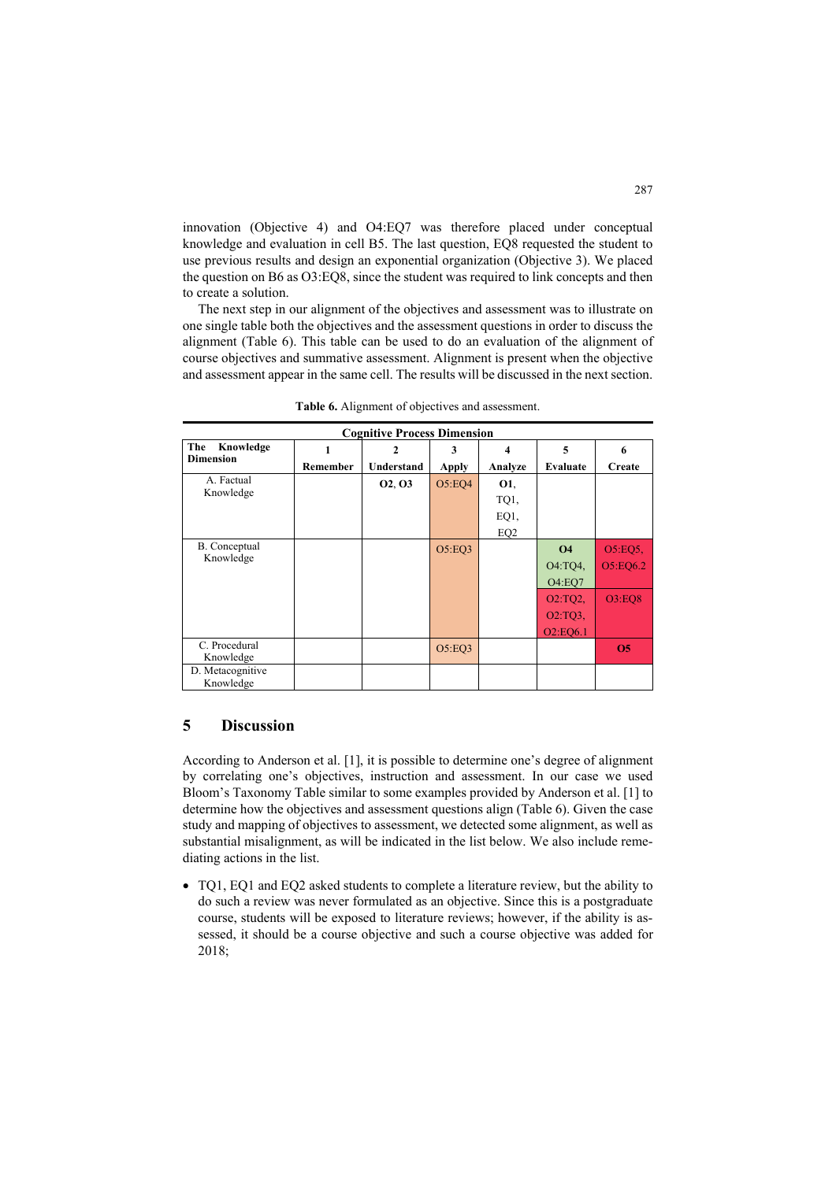innovation (Objective 4) and O4:EQ7 was therefore placed under conceptual knowledge and evaluation in cell B5. The last question, EQ8 requested the student to use previous results and design an exponential organization (Objective 3). We placed the question on B6 as O3:EQ8, since the student was required to link concepts and then to create a solution.

The next step in our alignment of the objectives and assessment was to illustrate on one single table both the objectives and the assessment questions in order to discuss the alignment (Table 6). This table can be used to do an evaluation of the alignment of course objectives and summative assessment. Alignment is present when the objective and assessment appear in the same cell. The results will be discussed in the next section.

| <b>Cognitive Process Dimension</b> |          |                   |              |                 |                                   |               |  |
|------------------------------------|----------|-------------------|--------------|-----------------|-----------------------------------|---------------|--|
| The<br>Knowledge                   |          | 2                 | 3            | 4               | 5                                 | 6             |  |
| <b>Dimension</b>                   | Remember | <b>Understand</b> | <b>Apply</b> | Analyze         | Evaluate                          | Create        |  |
| A. Factual                         |          | 02, 03            | O5:EQ4       | <b>O1,</b>      |                                   |               |  |
| Knowledge                          |          |                   |              | TQ1,            |                                   |               |  |
|                                    |          |                   |              | EQ <sub>1</sub> |                                   |               |  |
|                                    |          |                   |              | EQ <sub>2</sub> |                                   |               |  |
| B. Conceptual                      |          |                   | O5:EQ3       |                 | <b>O4</b>                         | O5:EQ5,       |  |
| Knowledge                          |          |                   |              |                 | O4:TQ4,                           | O5:EQ6.2      |  |
|                                    |          |                   |              |                 | <b>O4:EO7</b>                     |               |  |
|                                    |          |                   |              |                 | O2:TQ2,                           | <b>O3:EO8</b> |  |
|                                    |          |                   |              |                 | $O2:TO3$ ,                        |               |  |
|                                    |          |                   |              |                 | O <sub>2</sub> :EO <sub>6.1</sub> |               |  |
| C. Procedural                      |          |                   | O5:EQ3       |                 |                                   | <b>O5</b>     |  |
| Knowledge                          |          |                   |              |                 |                                   |               |  |
| D. Metacognitive<br>Knowledge      |          |                   |              |                 |                                   |               |  |
|                                    |          |                   |              |                 |                                   |               |  |

**Table 6.** Alignment of objectives and assessment.

### **5 Discussion**

According to Anderson et al. [1], it is possible to determine one's degree of alignment by correlating one's objectives, instruction and assessment. In our case we used Bloom's Taxonomy Table similar to some examples provided by Anderson et al. [1] to determine how the objectives and assessment questions align (Table 6). Given the case study and mapping of objectives to assessment, we detected some alignment, as well as substantial misalignment, as will be indicated in the list below. We also include remediating actions in the list.

• TQ1, EQ1 and EQ2 asked students to complete a literature review, but the ability to do such a review was never formulated as an objective. Since this is a postgraduate course, students will be exposed to literature reviews; however, if the ability is assessed, it should be a course objective and such a course objective was added for 2018;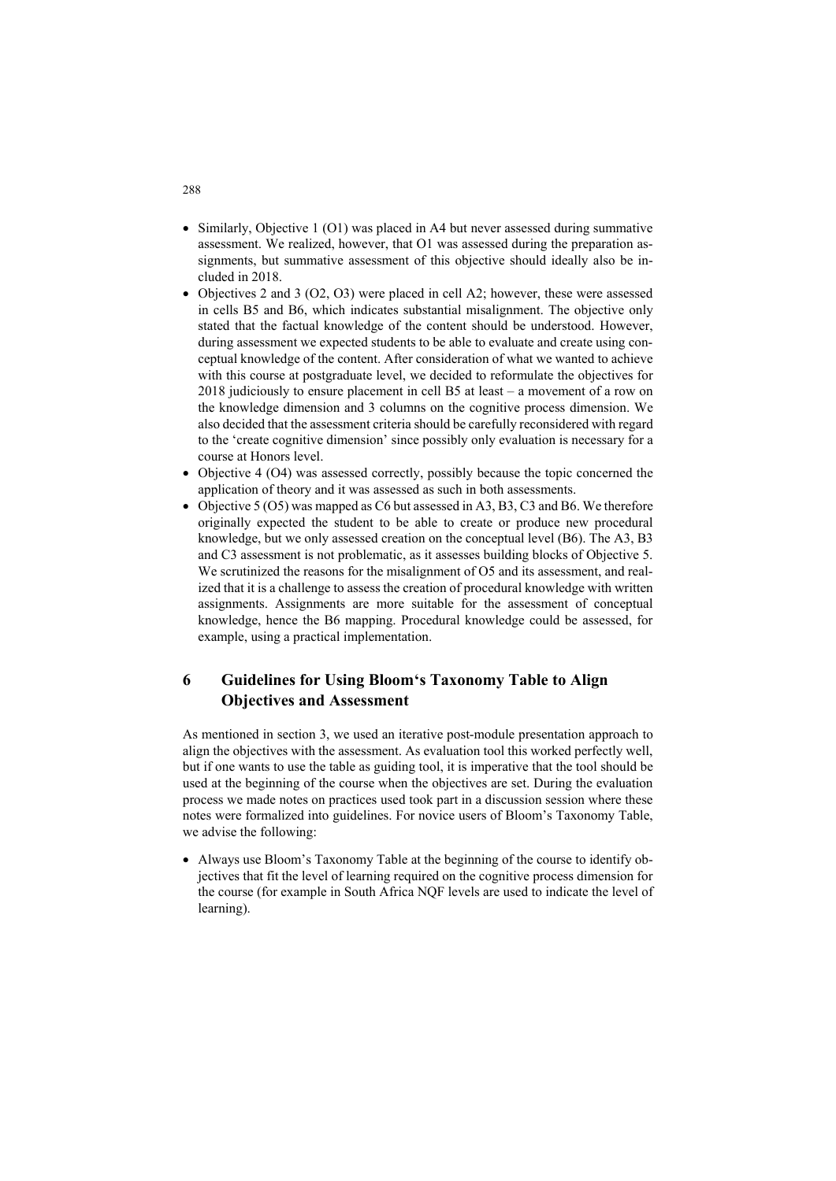- Similarly, Objective 1 (O1) was placed in A4 but never assessed during summative assessment. We realized, however, that O1 was assessed during the preparation assignments, but summative assessment of this objective should ideally also be included in 2018.
- Objectives 2 and 3 (O2, O3) were placed in cell A2; however, these were assessed in cells B5 and B6, which indicates substantial misalignment. The objective only stated that the factual knowledge of the content should be understood. However, during assessment we expected students to be able to evaluate and create using conceptual knowledge of the content. After consideration of what we wanted to achieve with this course at postgraduate level, we decided to reformulate the objectives for 2018 judiciously to ensure placement in cell B5 at least – a movement of a row on the knowledge dimension and 3 columns on the cognitive process dimension. We also decided that the assessment criteria should be carefully reconsidered with regard to the 'create cognitive dimension' since possibly only evaluation is necessary for a course at Honors level.
- $\bullet$  Objective 4 (O4) was assessed correctly, possibly because the topic concerned the application of theory and it was assessed as such in both assessments.
- Objective 5 (O5) was mapped as C6 but assessed in A3, B3, C3 and B6. We therefore originally expected the student to be able to create or produce new procedural knowledge, but we only assessed creation on the conceptual level (B6). The A3, B3 and C3 assessment is not problematic, as it assesses building blocks of Objective 5. We scrutinized the reasons for the misalignment of O5 and its assessment, and realized that it is a challenge to assess the creation of procedural knowledge with written assignments. Assignments are more suitable for the assessment of conceptual knowledge, hence the B6 mapping. Procedural knowledge could be assessed, for example, using a practical implementation.

## **6 Guidelines for Using Bloom's Taxonomy Table to Align Objectives and Assessment**

As mentioned in section 3, we used an iterative post-module presentation approach to align the objectives with the assessment. As evaluation tool this worked perfectly well, but if one wants to use the table as guiding tool, it is imperative that the tool should be used at the beginning of the course when the objectives are set. During the evaluation process we made notes on practices used took part in a discussion session where these notes were formalized into guidelines. For novice users of Bloom's Taxonomy Table, we advise the following:

• Always use Bloom's Taxonomy Table at the beginning of the course to identify objectives that fit the level of learning required on the cognitive process dimension for the course (for example in South Africa NQF levels are used to indicate the level of learning).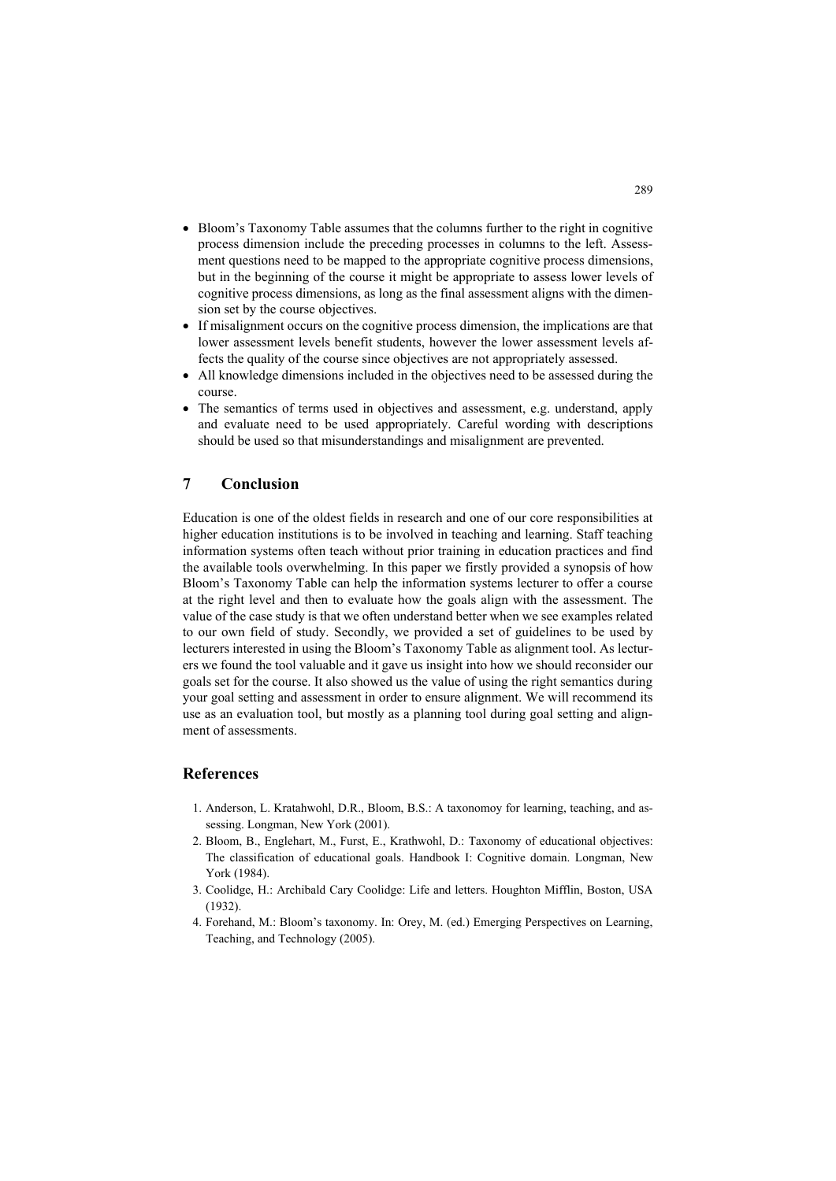- Bloom's Taxonomy Table assumes that the columns further to the right in cognitive process dimension include the preceding processes in columns to the left. Assessment questions need to be mapped to the appropriate cognitive process dimensions, but in the beginning of the course it might be appropriate to assess lower levels of cognitive process dimensions, as long as the final assessment aligns with the dimension set by the course objectives.
- If misalignment occurs on the cognitive process dimension, the implications are that lower assessment levels benefit students, however the lower assessment levels affects the quality of the course since objectives are not appropriately assessed.
- All knowledge dimensions included in the objectives need to be assessed during the course.
- The semantics of terms used in objectives and assessment, e.g. understand, apply and evaluate need to be used appropriately. Careful wording with descriptions should be used so that misunderstandings and misalignment are prevented.

## **7 Conclusion**

Education is one of the oldest fields in research and one of our core responsibilities at higher education institutions is to be involved in teaching and learning. Staff teaching information systems often teach without prior training in education practices and find the available tools overwhelming. In this paper we firstly provided a synopsis of how Bloom's Taxonomy Table can help the information systems lecturer to offer a course at the right level and then to evaluate how the goals align with the assessment. The value of the case study is that we often understand better when we see examples related to our own field of study. Secondly, we provided a set of guidelines to be used by lecturers interested in using the Bloom's Taxonomy Table as alignment tool. As lecturers we found the tool valuable and it gave us insight into how we should reconsider our goals set for the course. It also showed us the value of using the right semantics during your goal setting and assessment in order to ensure alignment. We will recommend its use as an evaluation tool, but mostly as a planning tool during goal setting and alignment of assessments.

### **References**

- 1. Anderson, L. Kratahwohl, D.R., Bloom, B.S.: A taxonomoy for learning, teaching, and assessing. Longman, New York (2001).
- 2. Bloom, B., Englehart, M., Furst, E., Krathwohl, D.: Taxonomy of educational objectives: The classification of educational goals. Handbook I: Cognitive domain. Longman, New York (1984).
- 3. Coolidge, H.: Archibald Cary Coolidge: Life and letters. Houghton Mifflin, Boston, USA (1932).
- 4. Forehand, M.: Bloom's taxonomy. In: Orey, M. (ed.) Emerging Perspectives on Learning, Teaching, and Technology (2005).